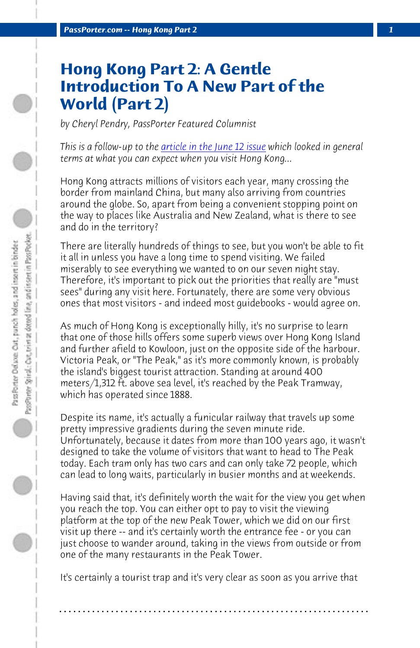*PassPorter.com -- Hong Kong Part 2 1*

## **Hong Kong Part 2: A Gentle Introduction To A New Part of the World (Part 2)**

*by Cheryl Pendry, PassPorter Featured Columnist*

*This is a follow-up to the article in the June 12 issue which looked in general terms at what you can expect when you visit Hong Kong...* 

Hong Kong attracts millions of visitors each year, many crossing the border from mainland China, but many also arriving from countries around the globe. So, apart from being a convenient stopping point on the way to places like Australia and New Zealand, what is there to see and do in the territory?

There are literally hundreds of things to see, but you won't be able to fit it all in unless you have a long time to spend visiting. We failed miserably to see everything we wanted to on our seven night stay. Therefore, it's important to pick out the priorities that really are "must sees" during any visit here. Fortunately, there are some very obvious ones that most visitors - and indeed most guidebooks - would agree on.

As much of Hong Kong is exceptionally hilly, it's no surprise to learn that one of those hills offers some superb views over Hong Kong Island and further afield to Kowloon, just on the opposite side of the harbour. Victoria Peak, or "The Peak," as it's more commonly known, is probably the island's biggest tourist attraction. Standing at around 400 meters/1,312 ft. above sea level, it's reached by the Peak Tramway, which has operated since 1888.

Despite its name, it's actually a funicular railway that travels up some pretty impressive gradients during the seven minute ride. Unfortunately, because it dates from more than 100 years ago, it wasn't designed to take the volume of visitors that want to head to The Peak today. Each tram only has two cars and can only take 72 people, which can lead to long waits, particularly in busier months and at weekends.

Having said that, it's definitely worth the wait for the view you get when you reach the top. You can either opt to pay to visit the viewing platform at the top of the new Peak Tower, which we did on our first visit up there -- and it's certainly worth the entrance fee - or you can just choose to wander around, taking in the views from outside or from one of the many restaurants in the Peak Tower.

It's certainly a tourist trap and it's very clear as soon as you arrive that

**. . . . . . . . . . . . . . . . . . . . . . . . . . . . . . . . . . . . . . . . . . . . . . . . . . . . . . . . . . . . . . . . . .**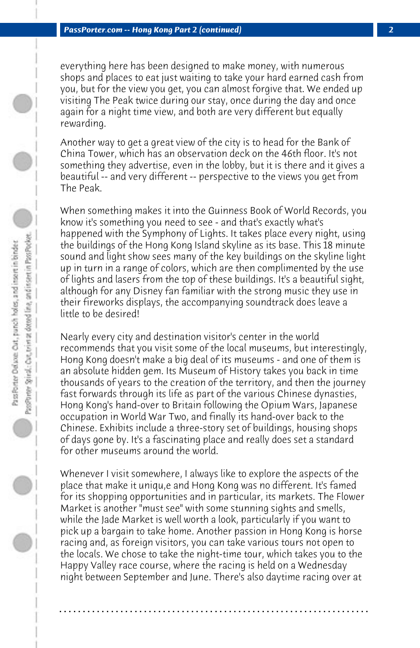everything here has been designed to make money, with numerous shops and places to eat just waiting to take your hard earned cash from you, but for the view you get, you can almost forgive that. We ended up visiting The Peak twice during our stay, once during the day and once again for a night time view, and both are very different but equally rewarding.

Another way to get a great view of the city is to head for the Bank of China Tower, which has an observation deck on the 46th floor. It's not something they advertise, even in the lobby, but it is there and it gives a beautiful -- and very different -- perspective to the views you get from The Peak.

When something makes it into the Guinness Book of World Records, you know it's something you need to see - and that's exactly what's happened with the Symphony of Lights. It takes place every night, using the buildings of the Hong Kong Island skyline as its base. This 18 minute sound and light show sees many of the key buildings on the skyline light up in turn in a range of colors, which are then complimented by the use of lights and lasers from the top of these buildings. It's a beautiful sight, although for any Disney fan familiar with the strong music they use in their fireworks displays, the accompanying soundtrack does leave a little to be desired!

Nearly every city and destination visitor's center in the world recommends that you visit some of the local museums, but interestingly, Hong Kong doesn't make a big deal of its museums - and one of them is an absolute hidden gem. Its Museum of History takes you back in time thousands of years to the creation of the territory, and then the journey fast forwards through its life as part of the various Chinese dynasties, Hong Kong's hand-over to Britain following the Opium Wars, Japanese occupation in World War Two, and finally its hand-over back to the Chinese. Exhibits include a three-story set of buildings, housing shops of days gone by. It's a fascinating place and really does set a standard for other museums around the world.

Whenever I visit somewhere, I always like to explore the aspects of the place that make it uniqu,e and Hong Kong was no different. It's famed for its shopping opportunities and in particular, its markets. The Flower Market is another "must see" with some stunning sights and smells, while the Jade Market is well worth a look, particularly if you want to pick up a bargain to take home. Another passion in Hong Kong is horse racing and, as foreign visitors, you can take various tours not open to the locals. We chose to take the night-time tour, which takes you to the Happy Valley race course, where the racing is held on a Wednesday night between September and June. There's also daytime racing over at

**. . . . . . . . . . . . . . . . . . . . . . . . . . . . . . . . . . . . . . . . . . . . . . . . . . . . . . . . . . . . . . . . . .**